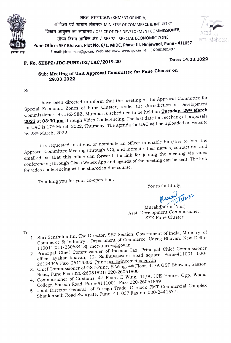

भारत सरकार/GOVERNMENT OF INDIA, aाणिज्य एवं उद्योग मंत्रालय/ MINISTRY OF COMMERCE & INDUSTRY विकास आयुक्त का कार्यालय / OFFICE OF THE DEVELOPMENT COMMISSIONER, सीप्ज विशेष आर्थिक क्षेत्र / SEEPZ - SPECIAL ECONOMIC ZONE HIGH HIGH HIGH AND SEEPZ - SPECIAL ECONOMIC 20112<br>
Pune Office: SEZ Bhavan, Plot No. 6/1, MIDC, Phase-III, Hinjewadi, Pune - 411057<br>
Pune Office: SEZ Bhavan, Plot No. 6/1, MIDC, Phase-III, Hinjewadi, Pune - 411057 E-mail: jdcpc-mah@gov.in, Web-site: www.seepz.gov.in Tel.: (020)61931407



## F. No. SEEPZ/JDC-PUNE/02/UAC/2019-20

Date: 14.03.2022

## Sub: Meeting of Unit Approval Committee for Pune Cluster on 29.03.2022.

Sir

I have been directed to inform that the meeting of the Approval Committee for Special Economic Zones of Pune Cluster, under the Jurisdiction of Development Commissioner, SEEPZ-SEZ, Mumbai is scheduled to be held on Tuesday, 29<sup>th</sup> March 2022 at 03:30 pm through Video Conferencing. The last date for receiving of proposals for UAC is 17th March 2022, Thursday. The agenda for UAC will be uploaded on website by 28th March, 2022.

It is requested to attend or nominate an officer to enable him/her to join, the Approval Committee Meeting (through VC), and intimate their names, contact no. and email-id, so that this office can forward the link for joining the meeting via video conferencing through Cisco Webex App and agenda of the meeting can be sent. The link for video conferencing will be shared in due course.

Thanking you for your co-operation.

Yours faithfully,

Murai Teter

(Muralidháran Nair) Asst. Development Commissioner, SEZ-Pune Cluster

To

- 1. Shri Senthilnathn, The Director, SEZ Section, Government of India, Ministry of Commerce & Industry , Department of Commerce, Udyog Bhavan, New Delhi-110011(011-23063418), moc-uacsez@gov.in.
- 2. Principal Chief Commissioner of Income Tax, Principal Chief Commissioner office, ayakar bhavan, 12- Sadhuvaswani Road square, Pune-411001. 020 26124349 Fax- 26129306. Pune.pccit@incometax.gov.in
- 3. Chief Commissioner of GST-Pune, E Wing, 4th Floor, 41/A GST Bhawan, Sasson Road, Pune Fax-(020-26051821) 020-26051800
- 4. Commissioner of Customs, 4th Floor, E Wing, 41/A, ICE House, Opp. Wadia College, Sasoon Road, Pune-4111001. Fax- 020-26051849
- 5. Joint Director General of Foreign Trade, C Block PMT Commercial Complex Shankerseth Road Swargate, Pune -41 1037 Fax no (020-2441577)